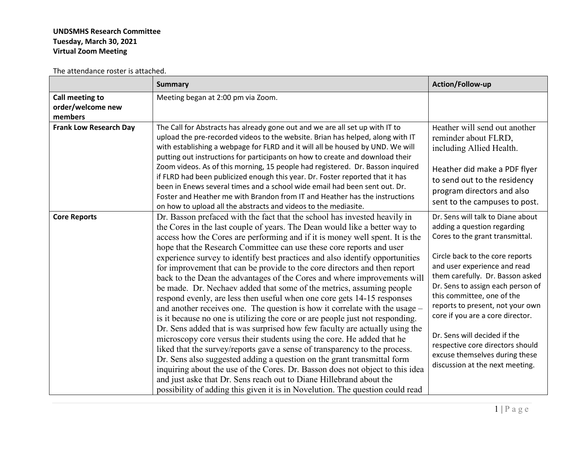## **UNDSMHS Research Committee Tuesday, March 30, 2021 Virtual Zoom Meeting**

The attendance roster is attached.

|                                                 | <b>Summary</b>                                                                                                                                                                                                                                                                                                                                                                                                                                                                                                                                                                                                                                                                                                                                                                                                                                                                                                                                                                                                                                                                                                                                                                                                                                                                                                                                                                                                                         | Action/Follow-up                                                                                                                                                                                                                                                                                                                                                                                                                                                                               |
|-------------------------------------------------|----------------------------------------------------------------------------------------------------------------------------------------------------------------------------------------------------------------------------------------------------------------------------------------------------------------------------------------------------------------------------------------------------------------------------------------------------------------------------------------------------------------------------------------------------------------------------------------------------------------------------------------------------------------------------------------------------------------------------------------------------------------------------------------------------------------------------------------------------------------------------------------------------------------------------------------------------------------------------------------------------------------------------------------------------------------------------------------------------------------------------------------------------------------------------------------------------------------------------------------------------------------------------------------------------------------------------------------------------------------------------------------------------------------------------------------|------------------------------------------------------------------------------------------------------------------------------------------------------------------------------------------------------------------------------------------------------------------------------------------------------------------------------------------------------------------------------------------------------------------------------------------------------------------------------------------------|
| Call meeting to<br>order/welcome new<br>members | Meeting began at 2:00 pm via Zoom.                                                                                                                                                                                                                                                                                                                                                                                                                                                                                                                                                                                                                                                                                                                                                                                                                                                                                                                                                                                                                                                                                                                                                                                                                                                                                                                                                                                                     |                                                                                                                                                                                                                                                                                                                                                                                                                                                                                                |
| <b>Frank Low Research Day</b>                   | The Call for Abstracts has already gone out and we are all set up with IT to<br>upload the pre-recorded videos to the website. Brian has helped, along with IT<br>with establishing a webpage for FLRD and it will all be housed by UND. We will<br>putting out instructions for participants on how to create and download their<br>Zoom videos. As of this morning, 15 people had registered. Dr. Basson inquired                                                                                                                                                                                                                                                                                                                                                                                                                                                                                                                                                                                                                                                                                                                                                                                                                                                                                                                                                                                                                    | Heather will send out another<br>reminder about FLRD,<br>including Allied Health.                                                                                                                                                                                                                                                                                                                                                                                                              |
|                                                 | if FLRD had been publicized enough this year. Dr. Foster reported that it has<br>been in Enews several times and a school wide email had been sent out. Dr.<br>Foster and Heather me with Brandon from IT and Heather has the instructions<br>on how to upload all the abstracts and videos to the mediasite.                                                                                                                                                                                                                                                                                                                                                                                                                                                                                                                                                                                                                                                                                                                                                                                                                                                                                                                                                                                                                                                                                                                          | Heather did make a PDF flyer<br>to send out to the residency<br>program directors and also<br>sent to the campuses to post.                                                                                                                                                                                                                                                                                                                                                                    |
| <b>Core Reports</b>                             | Dr. Basson prefaced with the fact that the school has invested heavily in<br>the Cores in the last couple of years. The Dean would like a better way to<br>access how the Cores are performing and if it is money well spent. It is the<br>hope that the Research Committee can use these core reports and user<br>experience survey to identify best practices and also identify opportunities<br>for improvement that can be provide to the core directors and then report<br>back to the Dean the advantages of the Cores and where improvements will<br>be made. Dr. Nechaev added that some of the metrics, assuming people<br>respond evenly, are less then useful when one core gets 14-15 responses<br>and another receives one. The question is how it correlate with the usage -<br>is it because no one is utilizing the core or are people just not responding.<br>Dr. Sens added that is was surprised how few faculty are actually using the<br>microscopy core versus their students using the core. He added that he<br>liked that the survey/reports gave a sense of transparency to the process.<br>Dr. Sens also suggested adding a question on the grant transmittal form<br>inquiring about the use of the Cores. Dr. Basson does not object to this idea<br>and just aske that Dr. Sens reach out to Diane Hillebrand about the<br>possibility of adding this given it is in Novelution. The question could read | Dr. Sens will talk to Diane about<br>adding a question regarding<br>Cores to the grant transmittal.<br>Circle back to the core reports<br>and user experience and read<br>them carefully. Dr. Basson asked<br>Dr. Sens to assign each person of<br>this committee, one of the<br>reports to present, not your own<br>core if you are a core director.<br>Dr. Sens will decided if the<br>respective core directors should<br>excuse themselves during these<br>discussion at the next meeting. |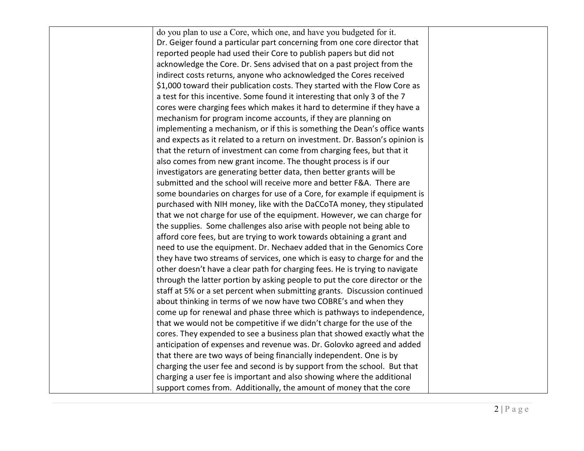| do you plan to use a Core, which one, and have you budgeted for it.          |  |
|------------------------------------------------------------------------------|--|
| Dr. Geiger found a particular part concerning from one core director that    |  |
| reported people had used their Core to publish papers but did not            |  |
| acknowledge the Core. Dr. Sens advised that on a past project from the       |  |
| indirect costs returns, anyone who acknowledged the Cores received           |  |
| \$1,000 toward their publication costs. They started with the Flow Core as   |  |
| a test for this incentive. Some found it interesting that only 3 of the 7    |  |
| cores were charging fees which makes it hard to determine if they have a     |  |
| mechanism for program income accounts, if they are planning on               |  |
| implementing a mechanism, or if this is something the Dean's office wants    |  |
| and expects as it related to a return on investment. Dr. Basson's opinion is |  |
| that the return of investment can come from charging fees, but that it       |  |
| also comes from new grant income. The thought process is if our              |  |
| investigators are generating better data, then better grants will be         |  |
| submitted and the school will receive more and better F&A. There are         |  |
| some boundaries on charges for use of a Core, for example if equipment is    |  |
| purchased with NIH money, like with the DaCCoTA money, they stipulated       |  |
| that we not charge for use of the equipment. However, we can charge for      |  |
| the supplies. Some challenges also arise with people not being able to       |  |
| afford core fees, but are trying to work towards obtaining a grant and       |  |
| need to use the equipment. Dr. Nechaev added that in the Genomics Core       |  |
| they have two streams of services, one which is easy to charge for and the   |  |
| other doesn't have a clear path for charging fees. He is trying to navigate  |  |
| through the latter portion by asking people to put the core director or the  |  |
| staff at 5% or a set percent when submitting grants. Discussion continued    |  |
| about thinking in terms of we now have two COBRE's and when they             |  |
| come up for renewal and phase three which is pathways to independence,       |  |
| that we would not be competitive if we didn't charge for the use of the      |  |
| cores. They expended to see a business plan that showed exactly what the     |  |
| anticipation of expenses and revenue was. Dr. Golovko agreed and added       |  |
| that there are two ways of being financially independent. One is by          |  |
| charging the user fee and second is by support from the school. But that     |  |
| charging a user fee is important and also showing where the additional       |  |
| support comes from. Additionally, the amount of money that the core          |  |
|                                                                              |  |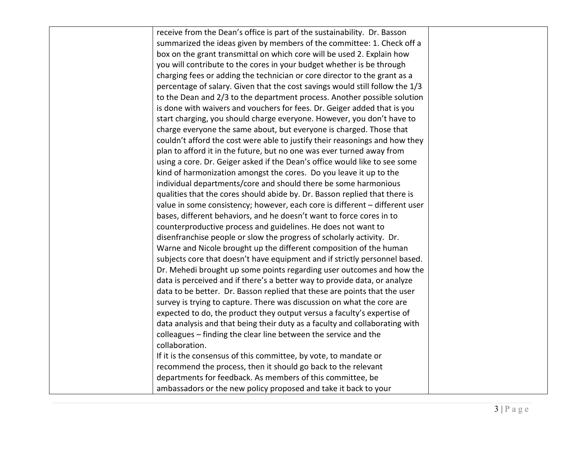| receive from the Dean's office is part of the sustainability. Dr. Basson     |  |
|------------------------------------------------------------------------------|--|
| summarized the ideas given by members of the committee: 1. Check off a       |  |
| box on the grant transmittal on which core will be used 2. Explain how       |  |
| you will contribute to the cores in your budget whether is be through        |  |
| charging fees or adding the technician or core director to the grant as a    |  |
| percentage of salary. Given that the cost savings would still follow the 1/3 |  |
| to the Dean and 2/3 to the department process. Another possible solution     |  |
| is done with waivers and vouchers for fees. Dr. Geiger added that is you     |  |
| start charging, you should charge everyone. However, you don't have to       |  |
| charge everyone the same about, but everyone is charged. Those that          |  |
| couldn't afford the cost were able to justify their reasonings and how they  |  |
| plan to afford it in the future, but no one was ever turned away from        |  |
| using a core. Dr. Geiger asked if the Dean's office would like to see some   |  |
| kind of harmonization amongst the cores. Do you leave it up to the           |  |
| individual departments/core and should there be some harmonious              |  |
| qualities that the cores should abide by. Dr. Basson replied that there is   |  |
| value in some consistency; however, each core is different - different user  |  |
| bases, different behaviors, and he doesn't want to force cores in to         |  |
| counterproductive process and guidelines. He does not want to                |  |
| disenfranchise people or slow the progress of scholarly activity. Dr.        |  |
| Warne and Nicole brought up the different composition of the human           |  |
| subjects core that doesn't have equipment and if strictly personnel based.   |  |
| Dr. Mehedi brought up some points regarding user outcomes and how the        |  |
| data is perceived and if there's a better way to provide data, or analyze    |  |
| data to be better. Dr. Basson replied that these are points that the user    |  |
| survey is trying to capture. There was discussion on what the core are       |  |
| expected to do, the product they output versus a faculty's expertise of      |  |
| data analysis and that being their duty as a faculty and collaborating with  |  |
| colleagues - finding the clear line between the service and the              |  |
| collaboration.                                                               |  |
| If it is the consensus of this committee, by vote, to mandate or             |  |
| recommend the process, then it should go back to the relevant                |  |
| departments for feedback. As members of this committee, be                   |  |
| ambassadors or the new policy proposed and take it back to your              |  |